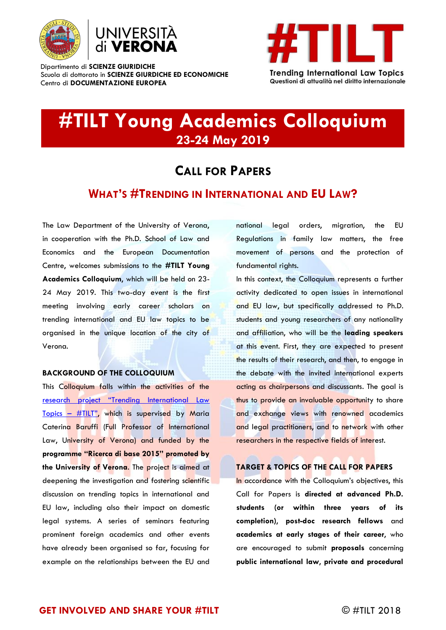

Dipartimento di **SCIENZE GIURIDICHE** Scuola di dottorato in **SCIENZE GIURDICHE ED ECONOMICHE** Centro di **DOCUMENTAZIONE EUROPEA**



**Trending International Law Topics** Questioni di attualità nel diritto internazionale

# **#TILT Young Academics Colloquium 23-24 May 2019**

## **CALL FOR PAPERS**

### **WHAT'S #TRENDING IN INTERNATIONAL AND EU LAW?**

The Law Department of the University of Verona, in cooperation with the Ph.D. School of Law and Economics and the European Documentation Centre, welcomes submissions to the **#TILT Young Academics Colloquium**, which will be held on 23- 24 May 2019. This two-day event is the first meeting involving early career scholars on trending international and EU law topics to be organised in the unique location of the city of Verona.

#### **BACKGROUND OF THE COLLOQUIUM**

This Colloquium falls within the activities of the [research project "Trending International Law](http://cde.univr.it/index.php/progetti/tilt/)  [Topics](http://cde.univr.it/index.php/progetti/tilt/) – #TILT", which is supervised by Maria Caterina Baruffi (Full Professor of International Law, University of Verona) and funded by the **programme "Ricerca di base 2015" promoted by the University of Verona**. The project is aimed at deepening the investigation and fostering scientific discussion on trending topics in international and EU law, including also their impact on domestic legal systems. A series of seminars featuring prominent foreign academics and other events have already been organised so far, focusing for example on the relationships between the EU and national legal orders, migration, the EU Regulations in family law matters, the free movement of persons and the protection of fundamental rights.

In this context, the Colloquium represents a further activity dedicated to open issues in international and EU law, but specifically addressed to Ph.D. students and young researchers of any nationality and affiliation, who will be the **leading speakers** at this event. First, they are expected to present the results of their research, and then, to engage in the debate with the invited international experts acting as chairpersons and discussants. The goal is thus to provide an invaluable opportunity to share and exchange views with renowned academics and legal practitioners, and to network with other researchers in the respective fields of interest.

#### **TARGET & TOPICS OF THE CALL FOR PAPERS**

In accordance with the Colloquium's objectives, this Call for Papers is **directed at advanced Ph.D. students (or within three years of its completion)**, **post-doc research fellows** and **academics at early stages of their career**, who are encouraged to submit **proposals** concerning **public international law**, **private and procedural**